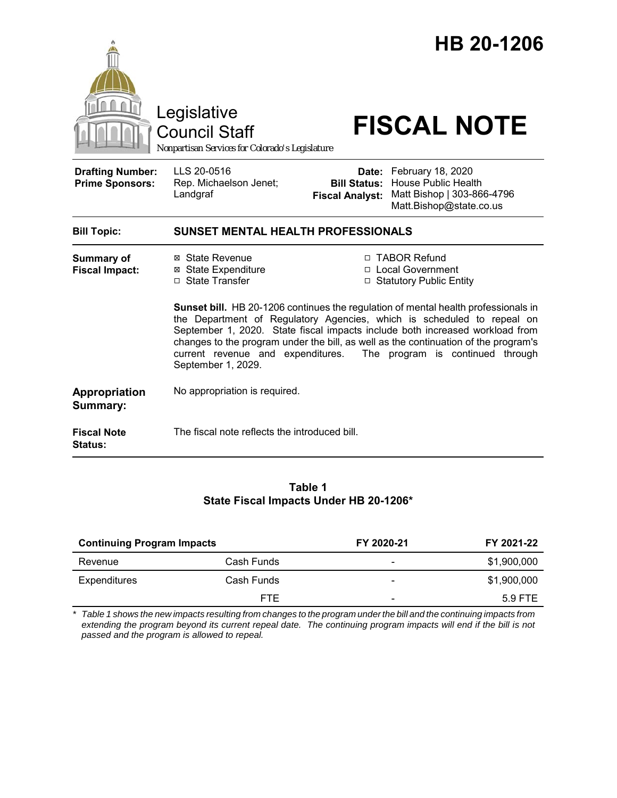|                                                   | Legislative<br><b>Council Staff</b><br>Nonpartisan Services for Colorado's Legislature                                       |                                                        | HB 20-1206<br><b>FISCAL NOTE</b>                                                                                                                                                                                                                                                                                                                                                                                                             |
|---------------------------------------------------|------------------------------------------------------------------------------------------------------------------------------|--------------------------------------------------------|----------------------------------------------------------------------------------------------------------------------------------------------------------------------------------------------------------------------------------------------------------------------------------------------------------------------------------------------------------------------------------------------------------------------------------------------|
| <b>Drafting Number:</b><br><b>Prime Sponsors:</b> | LLS 20-0516<br>Rep. Michaelson Jenet;<br>Landgraf                                                                            | Date:<br><b>Bill Status:</b><br><b>Fiscal Analyst:</b> | February 18, 2020<br><b>House Public Health</b><br>Matt Bishop   303-866-4796<br>Matt.Bishop@state.co.us                                                                                                                                                                                                                                                                                                                                     |
| <b>Bill Topic:</b>                                | <b>SUNSET MENTAL HEALTH PROFESSIONALS</b>                                                                                    |                                                        |                                                                                                                                                                                                                                                                                                                                                                                                                                              |
| Summary of<br><b>Fiscal Impact:</b>               | ⊠ State Revenue<br><b>⊠</b> State Expenditure<br>□ State Transfer<br>current revenue and expenditures.<br>September 1, 2029. |                                                        | □ TABOR Refund<br>□ Local Government<br>□ Statutory Public Entity<br>Sunset bill. HB 20-1206 continues the regulation of mental health professionals in<br>the Department of Regulatory Agencies, which is scheduled to repeal on<br>September 1, 2020. State fiscal impacts include both increased workload from<br>changes to the program under the bill, as well as the continuation of the program's<br>The program is continued through |
| Appropriation<br>Summary:                         | No appropriation is required.                                                                                                |                                                        |                                                                                                                                                                                                                                                                                                                                                                                                                                              |
| <b>Fiscal Note</b><br><b>Status:</b>              | The fiscal note reflects the introduced bill.                                                                                |                                                        |                                                                                                                                                                                                                                                                                                                                                                                                                                              |

## **Table 1 State Fiscal Impacts Under HB 20-1206\***

| <b>Continuing Program Impacts</b> |            | FY 2020-21               | FY 2021-22  |
|-----------------------------------|------------|--------------------------|-------------|
| Revenue                           | Cash Funds | -                        | \$1,900,000 |
| <b>Expenditures</b>               | Cash Funds | $\overline{\phantom{0}}$ | \$1,900,000 |
|                                   | <b>FTE</b> | $\overline{\phantom{0}}$ | 5.9 FTE     |
|                                   |            |                          |             |

*\* Table 1 shows the new impacts resulting from changes to the program under the bill and the continuing impacts from extending the program beyond its current repeal date. The continuing program impacts will end if the bill is not passed and the program is allowed to repeal.*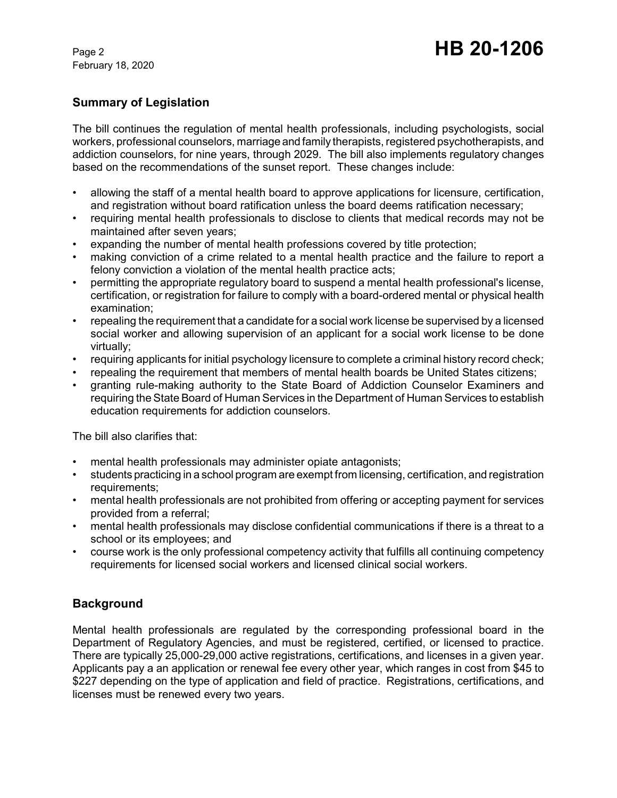February 18, 2020

# **Summary of Legislation**

The bill continues the regulation of mental health professionals, including psychologists, social workers, professional counselors, marriage and family therapists, registered psychotherapists, and addiction counselors, for nine years, through 2029. The bill also implements regulatory changes based on the recommendations of the sunset report. These changes include:

- allowing the staff of a mental health board to approve applications for licensure, certification, and registration without board ratification unless the board deems ratification necessary;
- requiring mental health professionals to disclose to clients that medical records may not be maintained after seven years;
- expanding the number of mental health professions covered by title protection;
- making conviction of a crime related to a mental health practice and the failure to report a felony conviction a violation of the mental health practice acts;
- permitting the appropriate regulatory board to suspend a mental health professional's license, certification, or registration for failure to comply with a board-ordered mental or physical health examination;
- repealing the requirement that a candidate for a social work license be supervised by a licensed social worker and allowing supervision of an applicant for a social work license to be done virtually;
- requiring applicants for initial psychology licensure to complete a criminal history record check;
- repealing the requirement that members of mental health boards be United States citizens;
- granting rule-making authority to the State Board of Addiction Counselor Examiners and requiring the State Board of Human Services in the Department of Human Services to establish education requirements for addiction counselors.

The bill also clarifies that:

- mental health professionals may administer opiate antagonists;
- students practicing in a school program are exempt from licensing, certification, and registration requirements;
- mental health professionals are not prohibited from offering or accepting payment for services provided from a referral;
- mental health professionals may disclose confidential communications if there is a threat to a school or its employees; and
- course work is the only professional competency activity that fulfills all continuing competency requirements for licensed social workers and licensed clinical social workers.

### **Background**

Mental health professionals are regulated by the corresponding professional board in the Department of Regulatory Agencies, and must be registered, certified, or licensed to practice. There are typically 25,000-29,000 active registrations, certifications, and licenses in a given year. Applicants pay a an application or renewal fee every other year, which ranges in cost from \$45 to \$227 depending on the type of application and field of practice. Registrations, certifications, and licenses must be renewed every two years.